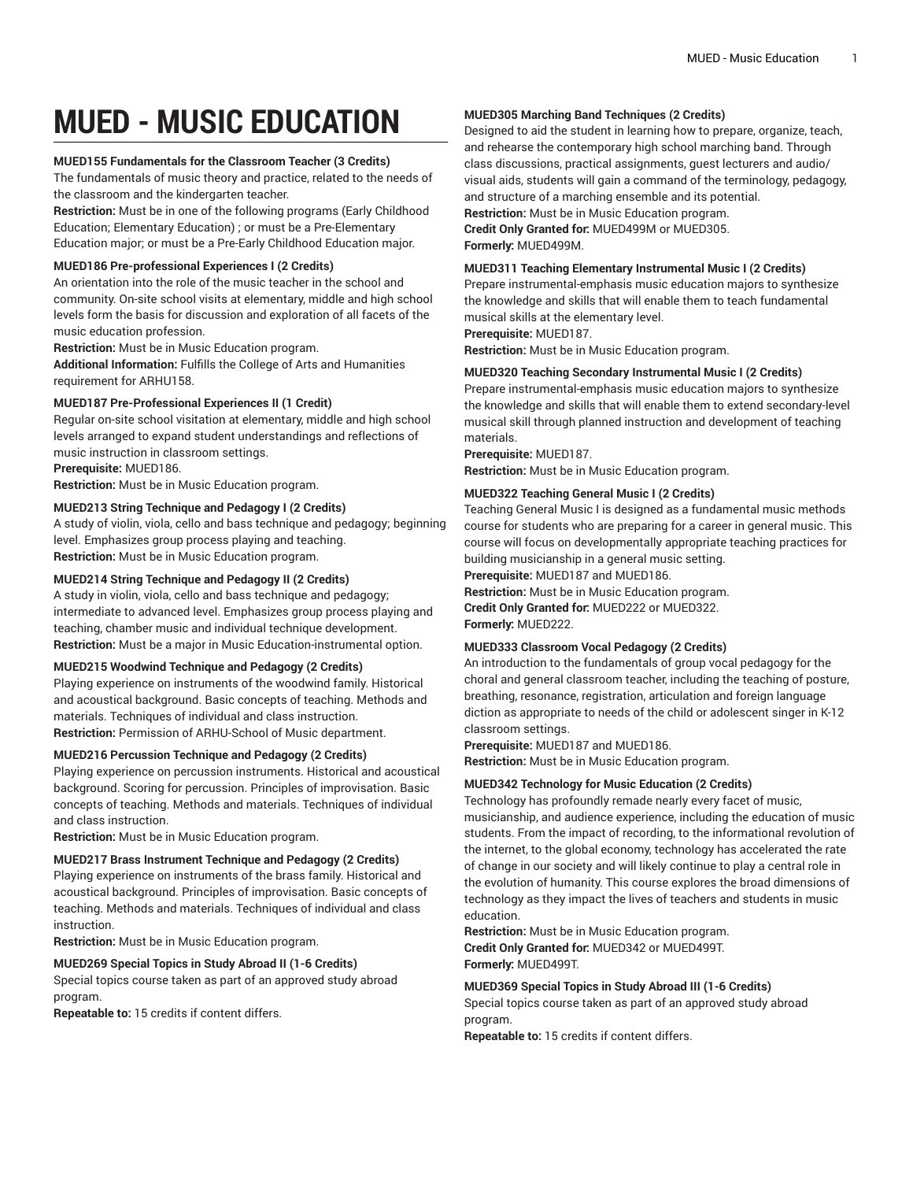# **MUED - MUSIC EDUCATION**

## **MUED155 Fundamentals for the Classroom Teacher (3 Credits)**

The fundamentals of music theory and practice, related to the needs of the classroom and the kindergarten teacher.

**Restriction:** Must be in one of the following programs (Early Childhood Education; Elementary Education) ; or must be a Pre-Elementary Education major; or must be a Pre-Early Childhood Education major.

#### **MUED186 Pre-professional Experiences I (2 Credits)**

An orientation into the role of the music teacher in the school and community. On-site school visits at elementary, middle and high school levels form the basis for discussion and exploration of all facets of the music education profession.

**Restriction:** Must be in Music Education program.

**Additional Information:** Fulfills the College of Arts and Humanities requirement for ARHU158.

## **MUED187 Pre-Professional Experiences II (1 Credit)**

Regular on-site school visitation at elementary, middle and high school levels arranged to expand student understandings and reflections of music instruction in classroom settings.

**Prerequisite:** MUED186.

**Restriction:** Must be in Music Education program.

## **MUED213 String Technique and Pedagogy I (2 Credits)**

A study of violin, viola, cello and bass technique and pedagogy; beginning level. Emphasizes group process playing and teaching. **Restriction:** Must be in Music Education program.

## **MUED214 String Technique and Pedagogy II (2 Credits)**

A study in violin, viola, cello and bass technique and pedagogy; intermediate to advanced level. Emphasizes group process playing and teaching, chamber music and individual technique development. **Restriction:** Must be a major in Music Education-instrumental option.

#### **MUED215 Woodwind Technique and Pedagogy (2 Credits)**

Playing experience on instruments of the woodwind family. Historical and acoustical background. Basic concepts of teaching. Methods and materials. Techniques of individual and class instruction. **Restriction:** Permission of ARHU-School of Music department.

#### **MUED216 Percussion Technique and Pedagogy (2 Credits)**

Playing experience on percussion instruments. Historical and acoustical background. Scoring for percussion. Principles of improvisation. Basic concepts of teaching. Methods and materials. Techniques of individual and class instruction.

**Restriction:** Must be in Music Education program.

# **MUED217 Brass Instrument Technique and Pedagogy (2 Credits)**

Playing experience on instruments of the brass family. Historical and acoustical background. Principles of improvisation. Basic concepts of teaching. Methods and materials. Techniques of individual and class instruction.

**Restriction:** Must be in Music Education program.

## **MUED269 Special Topics in Study Abroad II (1-6 Credits)**

Special topics course taken as part of an approved study abroad program.

**Repeatable to:** 15 credits if content differs.

## **MUED305 Marching Band Techniques (2 Credits)**

Designed to aid the student in learning how to prepare, organize, teach, and rehearse the contemporary high school marching band. Through class discussions, practical assignments, guest lecturers and audio/ visual aids, students will gain a command of the terminology, pedagogy, and structure of a marching ensemble and its potential. **Restriction:** Must be in Music Education program.

**Credit Only Granted for:** MUED499M or MUED305. **Formerly:** MUED499M.

## **MUED311 Teaching Elementary Instrumental Music I (2 Credits)**

Prepare instrumental-emphasis music education majors to synthesize the knowledge and skills that will enable them to teach fundamental musical skills at the elementary level.

**Prerequisite:** MUED187.

**Restriction:** Must be in Music Education program.

## **MUED320 Teaching Secondary Instrumental Music I (2 Credits)**

Prepare instrumental-emphasis music education majors to synthesize the knowledge and skills that will enable them to extend secondary-level musical skill through planned instruction and development of teaching materials.

**Prerequisite:** MUED187.

**Restriction:** Must be in Music Education program.

# **MUED322 Teaching General Music I (2 Credits)**

Teaching General Music I is designed as a fundamental music methods course for students who are preparing for a career in general music. This course will focus on developmentally appropriate teaching practices for building musicianship in a general music setting.

**Prerequisite:** MUED187 and MUED186.

**Restriction:** Must be in Music Education program. **Credit Only Granted for:** MUED222 or MUED322. **Formerly:** MUED222.

# **MUED333 Classroom Vocal Pedagogy (2 Credits)**

An introduction to the fundamentals of group vocal pedagogy for the choral and general classroom teacher, including the teaching of posture, breathing, resonance, registration, articulation and foreign language diction as appropriate to needs of the child or adolescent singer in K-12 classroom settings.

**Prerequisite:** MUED187 and MUED186.

**Restriction:** Must be in Music Education program.

## **MUED342 Technology for Music Education (2 Credits)**

Technology has profoundly remade nearly every facet of music, musicianship, and audience experience, including the education of music students. From the impact of recording, to the informational revolution of the internet, to the global economy, technology has accelerated the rate of change in our society and will likely continue to play a central role in the evolution of humanity. This course explores the broad dimensions of technology as they impact the lives of teachers and students in music education.

**Restriction:** Must be in Music Education program. **Credit Only Granted for:** MUED342 or MUED499T. **Formerly:** MUED499T.

#### **MUED369 Special Topics in Study Abroad III (1-6 Credits)**

Special topics course taken as part of an approved study abroad program.

**Repeatable to:** 15 credits if content differs.